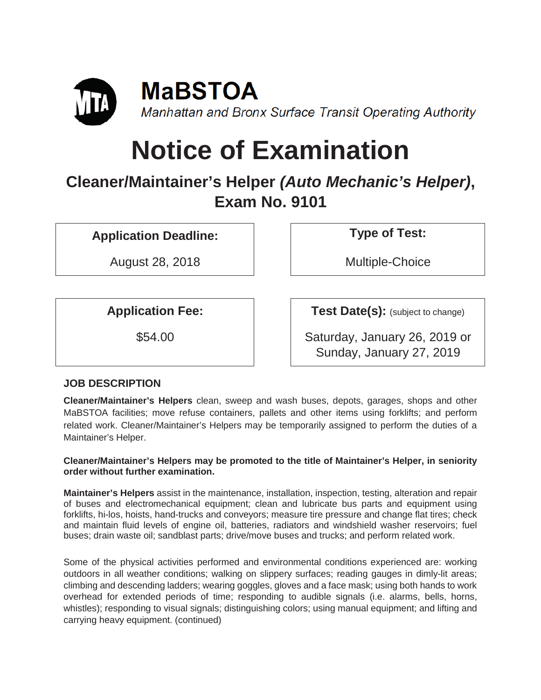

# **Notice of Examination**

# **Cleaner/Maintainer's Helper** *(Auto Mechanic's Helper)***, Exam No. 9101**

**Application Deadline: Type of Test:** 

August 28, 2018 | Nultiple-Choice

**Application Fee:**  $\qquad$  **Test Date(s):** (subject to change)

\$54.00 Saturday, January 26, 2019 or Sunday, January 27, 2019

# **JOB DESCRIPTION**

**Cleaner/Maintainer's Helpers** clean, sweep and wash buses, depots, garages, shops and other MaBSTOA facilities; move refuse containers, pallets and other items using forklifts; and perform related work. Cleaner/Maintainer's Helpers may be temporarily assigned to perform the duties of a Maintainer's Helper.

#### **Cleaner/Maintainer's Helpers may be promoted to the title of Maintainer's Helper, in seniority order without further examination.**

**Maintainer's Helpers** assist in the maintenance, installation, inspection, testing, alteration and repair of buses and electromechanical equipment; clean and lubricate bus parts and equipment using forklifts, hi-los, hoists, hand-trucks and conveyors; measure tire pressure and change flat tires; check and maintain fluid levels of engine oil, batteries, radiators and windshield washer reservoirs; fuel buses; drain waste oil; sandblast parts; drive/move buses and trucks; and perform related work.

Some of the physical activities performed and environmental conditions experienced are: working outdoors in all weather conditions; walking on slippery surfaces; reading gauges in dimly-lit areas; climbing and descending ladders; wearing goggles, gloves and a face mask; using both hands to work overhead for extended periods of time; responding to audible signals (i.e. alarms, bells, horns, whistles); responding to visual signals; distinguishing colors; using manual equipment; and lifting and carrying heavy equipment. (continued)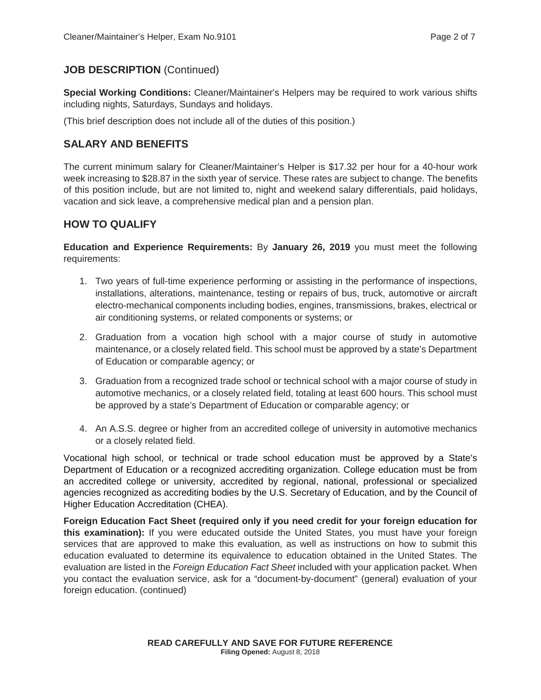### **JOB DESCRIPTION** (Continued)

**Special Working Conditions:** Cleaner/Maintainer's Helpers may be required to work various shifts including nights, Saturdays, Sundays and holidays.

(This brief description does not include all of the duties of this position.)

#### **SALARY AND BENEFITS**

The current minimum salary for Cleaner/Maintainer's Helper is \$17.32 per hour for a 40-hour work week increasing to \$28.87 in the sixth year of service. These rates are subject to change. The benefits of this position include, but are not limited to, night and weekend salary differentials, paid holidays, vacation and sick leave, a comprehensive medical plan and a pension plan.

# **HOW TO QUALIFY**

**Education and Experience Requirements:** By **January 26, 2019** you must meet the following requirements:

- 1. Two years of full-time experience performing or assisting in the performance of inspections, installations, alterations, maintenance, testing or repairs of bus, truck, automotive or aircraft electro-mechanical components including bodies, engines, transmissions, brakes, electrical or air conditioning systems, or related components or systems; or
- 2. Graduation from a vocation high school with a major course of study in automotive maintenance, or a closely related field. This school must be approved by a state's Department of Education or comparable agency; or
- 3. Graduation from a recognized trade school or technical school with a major course of study in automotive mechanics, or a closely related field, totaling at least 600 hours. This school must be approved by a state's Department of Education or comparable agency; or
- 4. An A.S.S. degree or higher from an accredited college of university in automotive mechanics or a closely related field.

Vocational high school, or technical or trade school education must be approved by a State's Department of Education or a recognized accrediting organization. College education must be from an accredited college or university, accredited by regional, national, professional or specialized agencies recognized as accrediting bodies by the U.S. Secretary of Education, and by the Council of Higher Education Accreditation (CHEA).

**Foreign Education Fact Sheet (required only if you need credit for your foreign education for this examination):** If you were educated outside the United States, you must have your foreign services that are approved to make this evaluation, as well as instructions on how to submit this education evaluated to determine its equivalence to education obtained in the United States. The evaluation are listed in the *Foreign Education Fact Sheet* included with your application packet. When you contact the evaluation service, ask for a "document-by-document" (general) evaluation of your foreign education. (continued)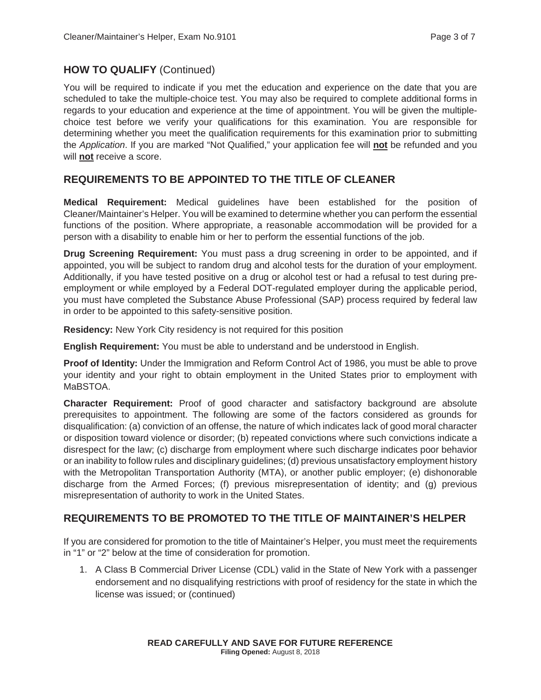# **HOW TO QUALIFY** (Continued)

You will be required to indicate if you met the education and experience on the date that you are scheduled to take the multiple-choice test. You may also be required to complete additional forms in regards to your education and experience at the time of appointment. You will be given the multiplechoice test before we verify your qualifications for this examination. You are responsible for determining whether you meet the qualification requirements for this examination prior to submitting the *Application*. If you are marked "Not Qualified," your application fee will **not** be refunded and you will **not** receive a score.

# **REQUIREMENTS TO BE APPOINTED TO THE TITLE OF CLEANER**

**Medical Requirement:** Medical guidelines have been established for the position of Cleaner/Maintainer's Helper. You will be examined to determine whether you can perform the essential functions of the position. Where appropriate, a reasonable accommodation will be provided for a person with a disability to enable him or her to perform the essential functions of the job.

**Drug Screening Requirement:** You must pass a drug screening in order to be appointed, and if appointed, you will be subject to random drug and alcohol tests for the duration of your employment. Additionally, if you have tested positive on a drug or alcohol test or had a refusal to test during preemployment or while employed by a Federal DOT-regulated employer during the applicable period, you must have completed the Substance Abuse Professional (SAP) process required by federal law in order to be appointed to this safety-sensitive position.

**Residency:** New York City residency is not required for this position

**English Requirement:** You must be able to understand and be understood in English.

**Proof of Identity:** Under the Immigration and Reform Control Act of 1986, you must be able to prove your identity and your right to obtain employment in the United States prior to employment with MaBSTOA.

**Character Requirement:** Proof of good character and satisfactory background are absolute prerequisites to appointment. The following are some of the factors considered as grounds for disqualification: (a) conviction of an offense, the nature of which indicates lack of good moral character or disposition toward violence or disorder; (b) repeated convictions where such convictions indicate a disrespect for the law; (c) discharge from employment where such discharge indicates poor behavior or an inability to follow rules and disciplinary guidelines; (d) previous unsatisfactory employment history with the Metropolitan Transportation Authority (MTA), or another public employer; (e) dishonorable discharge from the Armed Forces; (f) previous misrepresentation of identity; and (g) previous misrepresentation of authority to work in the United States.

# **REQUIREMENTS TO BE PROMOTED TO THE TITLE OF MAINTAINER'S HELPER**

If you are considered for promotion to the title of Maintainer's Helper, you must meet the requirements in "1" or "2" below at the time of consideration for promotion.

1. A Class B Commercial Driver License (CDL) valid in the State of New York with a passenger endorsement and no disqualifying restrictions with proof of residency for the state in which the license was issued; or (continued)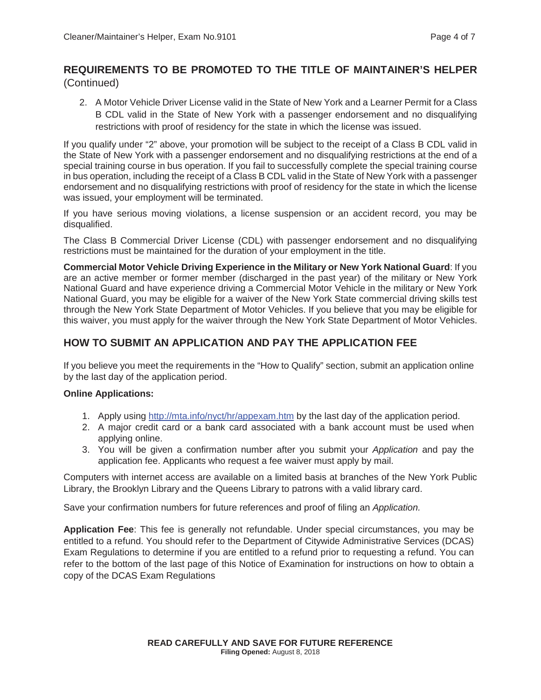#### **REQUIREMENTS TO BE PROMOTED TO THE TITLE OF MAINTAINER'S HELPER** (Continued)

2. A Motor Vehicle Driver License valid in the State of New York and a Learner Permit for a Class B CDL valid in the State of New York with a passenger endorsement and no disqualifying restrictions with proof of residency for the state in which the license was issued.

If you qualify under "2" above, your promotion will be subject to the receipt of a Class B CDL valid in the State of New York with a passenger endorsement and no disqualifying restrictions at the end of a special training course in bus operation. If you fail to successfully complete the special training course in bus operation, including the receipt of a Class B CDL valid in the State of New York with a passenger endorsement and no disqualifying restrictions with proof of residency for the state in which the license was issued, your employment will be terminated.

If you have serious moving violations, a license suspension or an accident record, you may be disqualified.

The Class B Commercial Driver License (CDL) with passenger endorsement and no disqualifying restrictions must be maintained for the duration of your employment in the title.

**Commercial Motor Vehicle Driving Experience in the Military or New York National Guard**: If you are an active member or former member (discharged in the past year) of the military or New York National Guard and have experience driving a Commercial Motor Vehicle in the military or New York National Guard, you may be eligible for a waiver of the New York State commercial driving skills test through the New York State Department of Motor Vehicles. If you believe that you may be eligible for this waiver, you must apply for the waiver through the New York State Department of Motor Vehicles.

# **HOW TO SUBMIT AN APPLICATION AND PAY THE APPLICATION FEE**

If you believe you meet the requirements in the "How to Qualify" section, submit an application online by the last day of the application period.

#### **Online Applications:**

- 1. Apply using http://mta.info/nyct/hr/appexam.htm by the last day of the application period.
- 2. A major credit card or a bank card associated with a bank account must be used when applying online.
- 3. You will be given a confirmation number after you submit your *Application* and pay the application fee. Applicants who request a fee waiver must apply by mail.

Computers with internet access are available on a limited basis at branches of the New York Public Library, the Brooklyn Library and the Queens Library to patrons with a valid library card.

Save your confirmation numbers for future references and proof of filing an *Application.*

**Application Fee**: This fee is generally not refundable. Under special circumstances, you may be entitled to a refund. You should refer to the Department of Citywide Administrative Services (DCAS) Exam Regulations to determine if you are entitled to a refund prior to requesting a refund. You can refer to the bottom of the last page of this Notice of Examination for instructions on how to obtain a copy of the DCAS Exam Regulations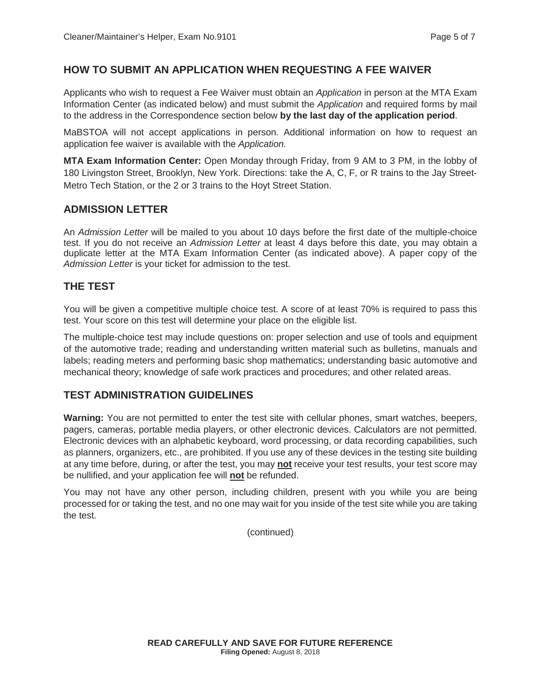#### **HOW TO SUBMIT AN APPLICATION WHEN REQUESTING A FEE WAIVER**

Applicants who wish to request a Fee Waiver must obtain an *Application* in person at the MTA Exam Information Center (as indicated below) and must submit the *Application* and required forms by mail to the address in the Correspondence section below **by the last day of the application period**.

MaBSTOA will not accept applications in person. Additional information on how to request an application fee waiver is available with the *Application.*

**MTA Exam Information Center:** Open Monday through Friday, from 9 AM to 3 PM, in the lobby of 180 Livingston Street, Brooklyn, New York. Directions: take the A, C, F, or R trains to the Jay Street-Metro Tech Station, or the 2 or 3 trains to the Hoyt Street Station.

#### **ADMISSION LETTER**

An *Admission Letter* will be mailed to you about 10 days before the first date of the multiple-choice test. If you do not receive an *Admission Letter* at least 4 days before this date, you may obtain a duplicate letter at the MTA Exam Information Center (as indicated above). A paper copy of the *Admission Letter* is your ticket for admission to the test.

#### **THE TEST**

You will be given a competitive multiple choice test. A score of at least 70% is required to pass this test. Your score on this test will determine your place on the eligible list.

The multiple-choice test may include questions on: proper selection and use of tools and equipment of the automotive trade; reading and understanding written material such as bulletins, manuals and labels; reading meters and performing basic shop mathematics; understanding basic automotive and mechanical theory; knowledge of safe work practices and procedures; and other related areas.

#### **TEST ADMINISTRATION GUIDELINES**

**Warning:** You are not permitted to enter the test site with cellular phones, smart watches, beepers, pagers, cameras, portable media players, or other electronic devices. Calculators are not permitted. Electronic devices with an alphabetic keyboard, word processing, or data recording capabilities, such as planners, organizers, etc., are prohibited. If you use any of these devices in the testing site building at any time before, during, or after the test, you may **not** receive your test results, your test score may be nullified, and your application fee will **not** be refunded.

You may not have any other person, including children, present with you while you are being processed for or taking the test, and no one may wait for you inside of the test site while you are taking the test.

(continued)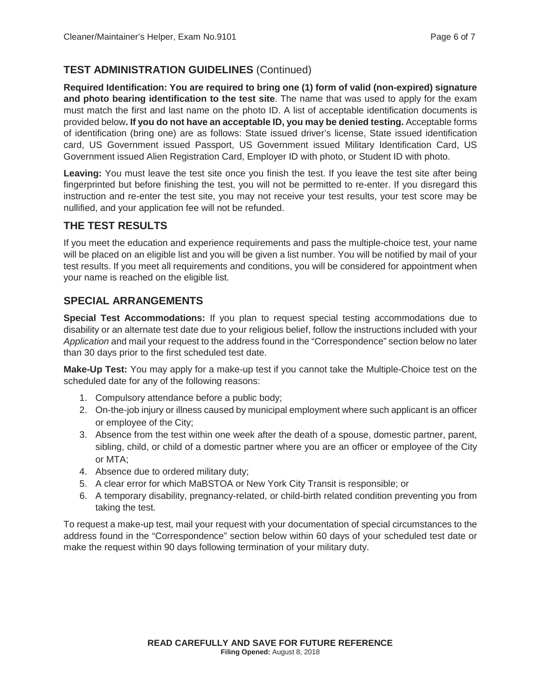# **TEST ADMINISTRATION GUIDELINES** (Continued)

**Required Identification: You are required to bring one (1) form of valid (non-expired) signature and photo bearing identification to the test site**. The name that was used to apply for the exam must match the first and last name on the photo ID. A list of acceptable identification documents is provided below**. If you do not have an acceptable ID, you may be denied testing.** Acceptable forms of identification (bring one) are as follows: State issued driver's license, State issued identification card, US Government issued Passport, US Government issued Military Identification Card, US Government issued Alien Registration Card, Employer ID with photo, or Student ID with photo.

Leaving: You must leave the test site once you finish the test. If you leave the test site after being fingerprinted but before finishing the test, you will not be permitted to re-enter. If you disregard this instruction and re-enter the test site, you may not receive your test results, your test score may be nullified, and your application fee will not be refunded.

# **THE TEST RESULTS**

If you meet the education and experience requirements and pass the multiple-choice test, your name will be placed on an eligible list and you will be given a list number. You will be notified by mail of your test results. If you meet all requirements and conditions, you will be considered for appointment when your name is reached on the eligible list.

# **SPECIAL ARRANGEMENTS**

**Special Test Accommodations:** If you plan to request special testing accommodations due to disability or an alternate test date due to your religious belief, follow the instructions included with your *Application* and mail your request to the address found in the "Correspondence" section below no later than 30 days prior to the first scheduled test date.

**Make-Up Test:** You may apply for a make-up test if you cannot take the Multiple-Choice test on the scheduled date for any of the following reasons:

- 1. Compulsory attendance before a public body;
- 2. On-the-job injury or illness caused by municipal employment where such applicant is an officer or employee of the City;
- 3. Absence from the test within one week after the death of a spouse, domestic partner, parent, sibling, child, or child of a domestic partner where you are an officer or employee of the City or MTA;
- 4. Absence due to ordered military duty;
- 5. A clear error for which MaBSTOA or New York City Transit is responsible; or
- 6. A temporary disability, pregnancy-related, or child-birth related condition preventing you from taking the test.

To request a make-up test, mail your request with your documentation of special circumstances to the address found in the "Correspondence" section below within 60 days of your scheduled test date or make the request within 90 days following termination of your military duty.